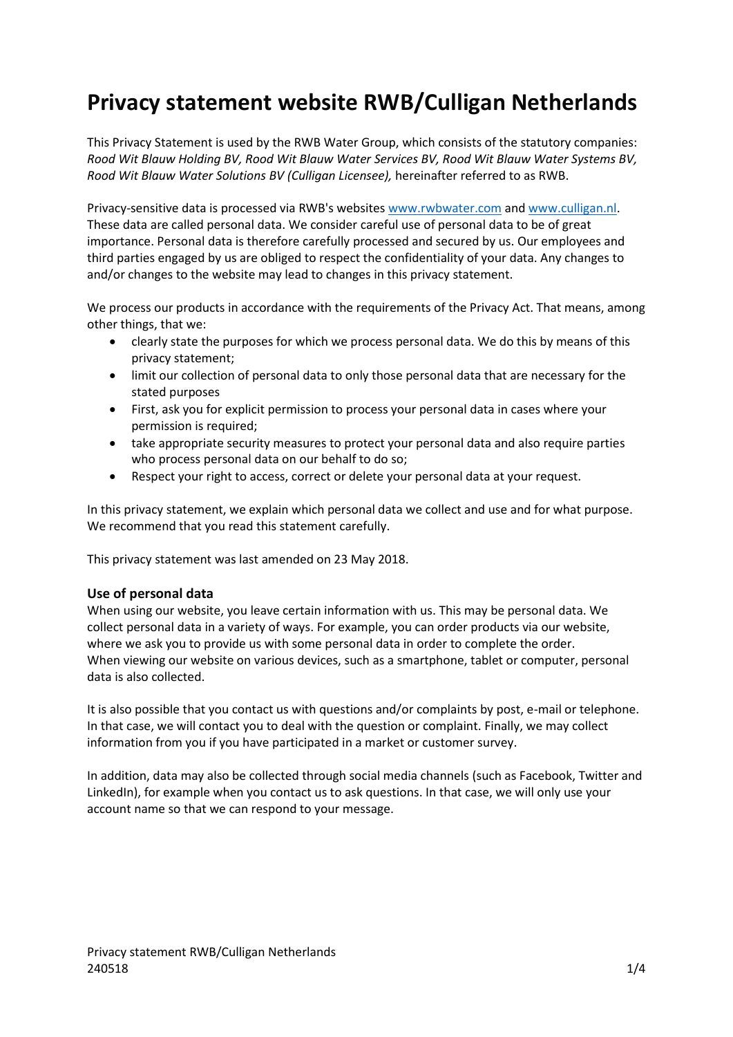# **Privacy statement website RWB/Culligan Netherlands**

This Privacy Statement is used by the RWB Water Group, which consists of the statutory companies: *Rood Wit Blauw Holding BV, Rood Wit Blauw Water Services BV, Rood Wit Blauw Water Systems BV, Rood Wit Blauw Water Solutions BV (Culligan Licensee),* hereinafter referred to as RWB.

Privacy-sensitive data is processed via RWB's websites [www.rwbwater.com](http://www.rwbwater.com/) and [www.culligan.nl.](http://www.culligan.nl/) These data are called personal data. We consider careful use of personal data to be of great importance. Personal data is therefore carefully processed and secured by us. Our employees and third parties engaged by us are obliged to respect the confidentiality of your data. Any changes to and/or changes to the website may lead to changes in this privacy statement.

We process our products in accordance with the requirements of the Privacy Act. That means, among other things, that we:

- clearly state the purposes for which we process personal data. We do this by means of this privacy statement;
- limit our collection of personal data to only those personal data that are necessary for the stated purposes
- First, ask you for explicit permission to process your personal data in cases where your permission is required;
- take appropriate security measures to protect your personal data and also require parties who process personal data on our behalf to do so;
- Respect your right to access, correct or delete your personal data at your request.

In this privacy statement, we explain which personal data we collect and use and for what purpose. We recommend that you read this statement carefully.

This privacy statement was last amended on 23 May 2018.

#### **Use of personal data**

When using our website, you leave certain information with us. This may be personal data. We collect personal data in a variety of ways. For example, you can order products via our website, where we ask you to provide us with some personal data in order to complete the order. When viewing our website on various devices, such as a smartphone, tablet or computer, personal data is also collected.

It is also possible that you contact us with questions and/or complaints by post, e-mail or telephone. In that case, we will contact you to deal with the question or complaint. Finally, we may collect information from you if you have participated in a market or customer survey.

In addition, data may also be collected through social media channels (such as Facebook, Twitter and LinkedIn), for example when you contact us to ask questions. In that case, we will only use your account name so that we can respond to your message.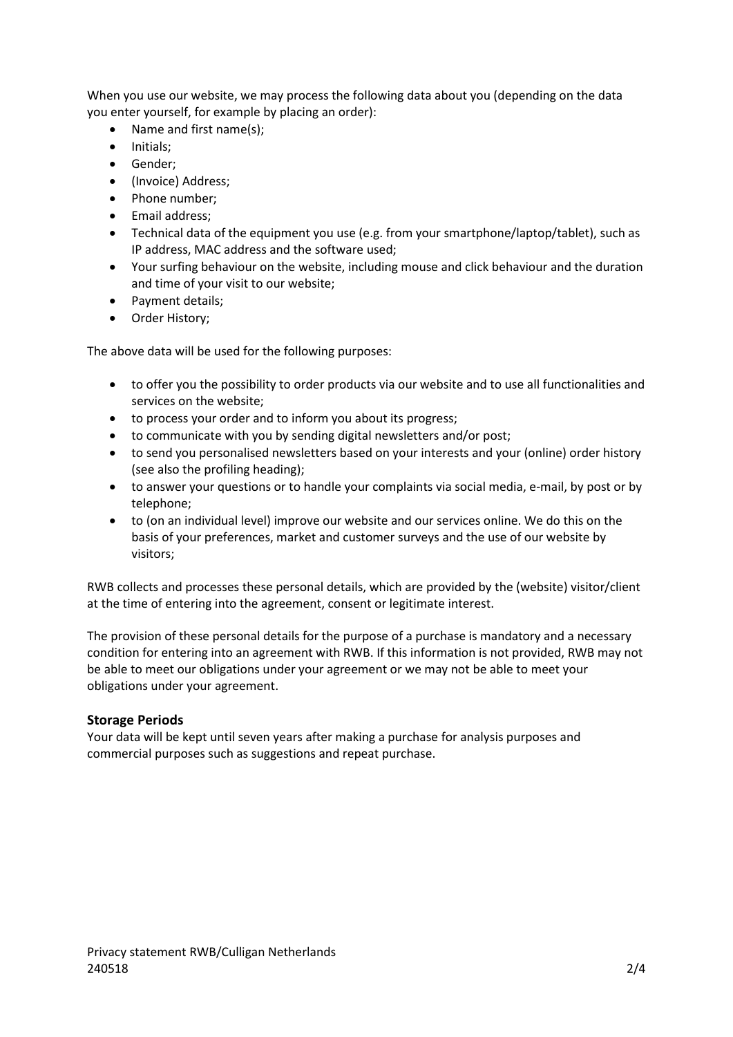When you use our website, we may process the following data about you (depending on the data you enter yourself, for example by placing an order):

- Name and first name(s);
- Initials;
- Gender:
- (Invoice) Address;
- Phone number;
- Email address:
- Technical data of the equipment you use (e.g. from your smartphone/laptop/tablet), such as IP address, MAC address and the software used;
- Your surfing behaviour on the website, including mouse and click behaviour and the duration and time of your visit to our website;
- Payment details;
- Order History;

The above data will be used for the following purposes:

- to offer you the possibility to order products via our website and to use all functionalities and services on the website;
- to process your order and to inform you about its progress;
- to communicate with you by sending digital newsletters and/or post;
- to send you personalised newsletters based on your interests and your (online) order history (see also the profiling heading);
- to answer your questions or to handle your complaints via social media, e-mail, by post or by telephone;
- to (on an individual level) improve our website and our services online. We do this on the basis of your preferences, market and customer surveys and the use of our website by visitors;

RWB collects and processes these personal details, which are provided by the (website) visitor/client at the time of entering into the agreement, consent or legitimate interest.

The provision of these personal details for the purpose of a purchase is mandatory and a necessary condition for entering into an agreement with RWB. If this information is not provided, RWB may not be able to meet our obligations under your agreement or we may not be able to meet your obligations under your agreement.

#### **Storage Periods**

Your data will be kept until seven years after making a purchase for analysis purposes and commercial purposes such as suggestions and repeat purchase.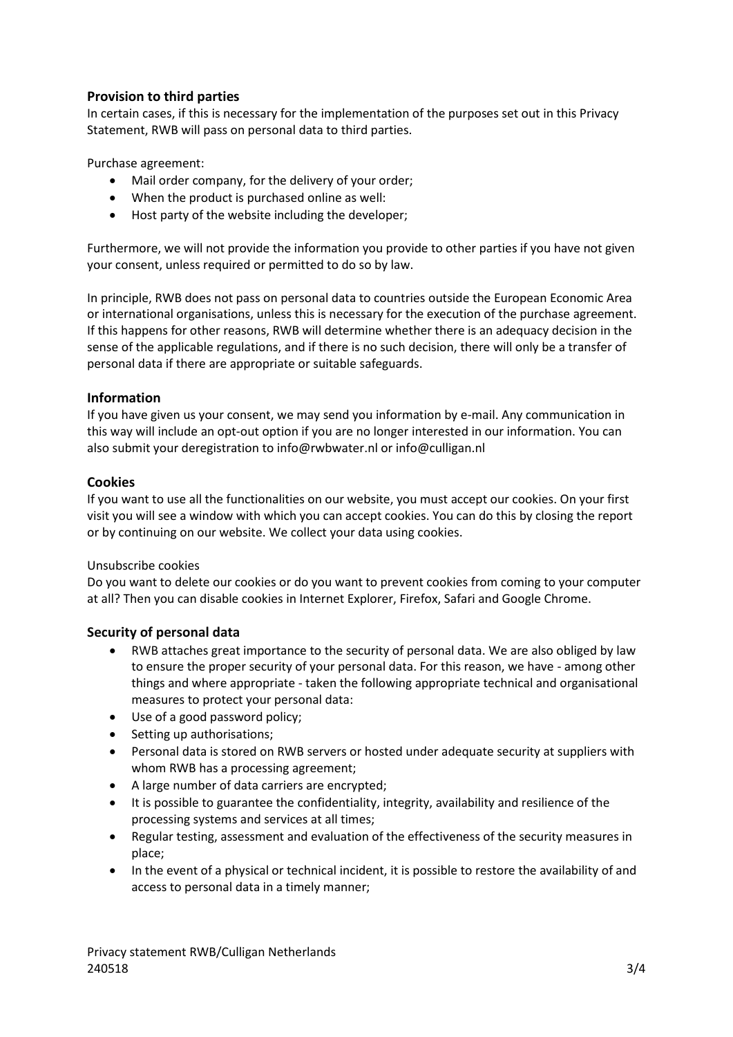## **Provision to third parties**

In certain cases, if this is necessary for the implementation of the purposes set out in this Privacy Statement, RWB will pass on personal data to third parties.

Purchase agreement:

- Mail order company, for the delivery of your order;
- When the product is purchased online as well:
- Host party of the website including the developer;

Furthermore, we will not provide the information you provide to other parties if you have not given your consent, unless required or permitted to do so by law.

In principle, RWB does not pass on personal data to countries outside the European Economic Area or international organisations, unless this is necessary for the execution of the purchase agreement. If this happens for other reasons, RWB will determine whether there is an adequacy decision in the sense of the applicable regulations, and if there is no such decision, there will only be a transfer of personal data if there are appropriate or suitable safeguards.

#### **Information**

If you have given us your consent, we may send you information by e-mail. Any communication in this way will include an opt-out option if you are no longer interested in our information. You can also submit your deregistration to info@rwbwater.nl or info@culligan.nl

#### **Cookies**

If you want to use all the functionalities on our website, you must accept our cookies. On your first visit you will see a window with which you can accept cookies. You can do this by closing the report or by continuing on our website. We collect your data using cookies.

#### Unsubscribe cookies

Do you want to delete our cookies or do you want to prevent cookies from coming to your computer at all? Then you can disable cookies in Internet Explorer, Firefox, Safari and Google Chrome.

#### **Security of personal data**

- RWB attaches great importance to the security of personal data. We are also obliged by law to ensure the proper security of your personal data. For this reason, we have - among other things and where appropriate - taken the following appropriate technical and organisational measures to protect your personal data:
- Use of a good password policy;
- Setting up authorisations;
- Personal data is stored on RWB servers or hosted under adequate security at suppliers with whom RWB has a processing agreement;
- A large number of data carriers are encrypted;
- It is possible to guarantee the confidentiality, integrity, availability and resilience of the processing systems and services at all times;
- Regular testing, assessment and evaluation of the effectiveness of the security measures in place;
- In the event of a physical or technical incident, it is possible to restore the availability of and access to personal data in a timely manner;